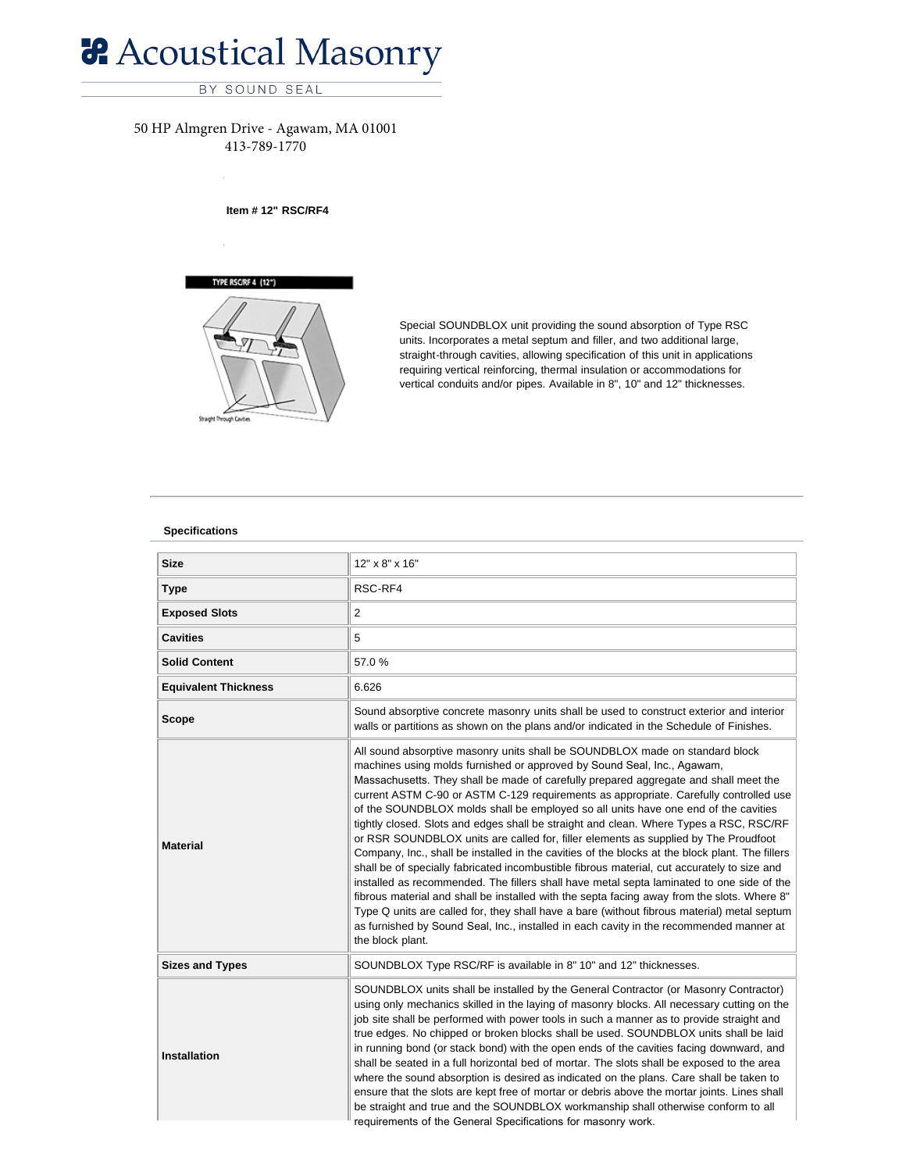# **& Acoustical Masonry**

## BY SOUND SEAL

## 50 HP Almgren Drive - Agawam, MA 01001 413-789-1770

### **Item # 12" RSC/RF4**



Special SOUNDBLOX unit providing the sound absorption of Type RSC units. Incorporates a metal septum and filler, and two additional large, straight-through cavities, allowing specification of this unit in applications requiring vertical reinforcing, thermal insulation or accommodations for vertical conduits and/or pipes. Available in 8", 10" and 12" thicknesses.

#### **[Specifica](http://www.theproudfootcompany.com/Stores/Noisemaster/catalog.php)tio[ns](http://www.theproudfootcompany.com/Stores/Soundblox/Type_RSC_RF/12-RSC-RF4/#fragment-1)**

| <b>Size</b>                 | 12" x 8" x 16"                                                                                                                                                                                                                                                                                                                                                                                                                                                                                                                                                                                                                                                                                                                                                                                                                                                                                                                                                                                                                                                                                                                                                                                                              |
|-----------------------------|-----------------------------------------------------------------------------------------------------------------------------------------------------------------------------------------------------------------------------------------------------------------------------------------------------------------------------------------------------------------------------------------------------------------------------------------------------------------------------------------------------------------------------------------------------------------------------------------------------------------------------------------------------------------------------------------------------------------------------------------------------------------------------------------------------------------------------------------------------------------------------------------------------------------------------------------------------------------------------------------------------------------------------------------------------------------------------------------------------------------------------------------------------------------------------------------------------------------------------|
| <b>Type</b>                 | RSC-RF4                                                                                                                                                                                                                                                                                                                                                                                                                                                                                                                                                                                                                                                                                                                                                                                                                                                                                                                                                                                                                                                                                                                                                                                                                     |
| <b>Exposed Slots</b>        | 2                                                                                                                                                                                                                                                                                                                                                                                                                                                                                                                                                                                                                                                                                                                                                                                                                                                                                                                                                                                                                                                                                                                                                                                                                           |
| <b>Cavities</b>             | 5                                                                                                                                                                                                                                                                                                                                                                                                                                                                                                                                                                                                                                                                                                                                                                                                                                                                                                                                                                                                                                                                                                                                                                                                                           |
| <b>Solid Content</b>        | 57.0%                                                                                                                                                                                                                                                                                                                                                                                                                                                                                                                                                                                                                                                                                                                                                                                                                                                                                                                                                                                                                                                                                                                                                                                                                       |
| <b>Equivalent Thickness</b> | 6.626                                                                                                                                                                                                                                                                                                                                                                                                                                                                                                                                                                                                                                                                                                                                                                                                                                                                                                                                                                                                                                                                                                                                                                                                                       |
| <b>Scope</b>                | Sound absorptive concrete masonry units shall be used to construct exterior and interior<br>walls or partitions as shown on the plans and/or indicated in the Schedule of Finishes.                                                                                                                                                                                                                                                                                                                                                                                                                                                                                                                                                                                                                                                                                                                                                                                                                                                                                                                                                                                                                                         |
| <b>Material</b>             | All sound absorptive masonry units shall be SOUNDBLOX made on standard block<br>machines using molds furnished or approved by Sound Seal, Inc., Agawam,<br>Massachusetts. They shall be made of carefully prepared aggregate and shall meet the<br>current ASTM C-90 or ASTM C-129 requirements as appropriate. Carefully controlled use<br>of the SOUNDBLOX molds shall be employed so all units have one end of the cavities<br>tightly closed. Slots and edges shall be straight and clean. Where Types a RSC, RSC/RF<br>or RSR SOUNDBLOX units are called for, filler elements as supplied by The Proudfoot<br>Company, Inc., shall be installed in the cavities of the blocks at the block plant. The fillers<br>shall be of specially fabricated incombustible fibrous material, cut accurately to size and<br>installed as recommended. The fillers shall have metal septa laminated to one side of the<br>fibrous material and shall be installed with the septa facing away from the slots. Where 8"<br>Type Q units are called for, they shall have a bare (without fibrous material) metal septum<br>as furnished by Sound Seal, Inc., installed in each cavity in the recommended manner at<br>the block plant. |
| <b>Sizes and Types</b>      | SOUNDBLOX Type RSC/RF is available in 8" 10" and 12" thicknesses.                                                                                                                                                                                                                                                                                                                                                                                                                                                                                                                                                                                                                                                                                                                                                                                                                                                                                                                                                                                                                                                                                                                                                           |
| <b>Installation</b>         | SOUNDBLOX units shall be installed by the General Contractor (or Masonry Contractor)<br>using only mechanics skilled in the laying of masonry blocks. All necessary cutting on the<br>job site shall be performed with power tools in such a manner as to provide straight and<br>true edges. No chipped or broken blocks shall be used. SOUNDBLOX units shall be laid<br>in running bond (or stack bond) with the open ends of the cavities facing downward, and<br>shall be seated in a full horizontal bed of mortar. The slots shall be exposed to the area<br>where the sound absorption is desired as indicated on the plans. Care shall be taken to<br>ensure that the slots are kept free of mortar or debris above the mortar joints. Lines shall<br>be straight and true and the SOUNDBLOX workmanship shall otherwise conform to all<br>requirements of the General Specifications for masonry work.                                                                                                                                                                                                                                                                                                             |